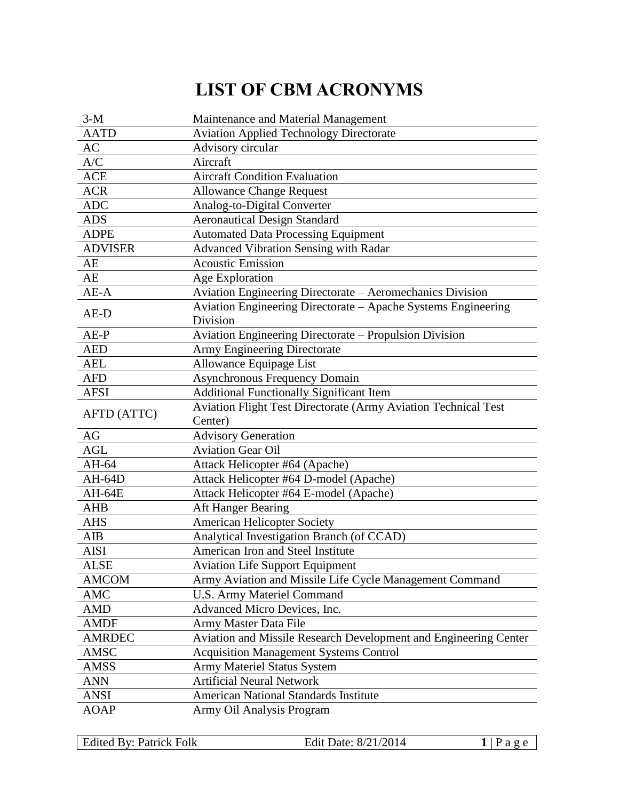## **LIST OF CBM ACRONYMS**

| $3-M$                      | Maintenance and Material Management                                       |
|----------------------------|---------------------------------------------------------------------------|
| <b>AATD</b>                | <b>Aviation Applied Technology Directorate</b>                            |
| AC                         | Advisory circular                                                         |
| A/C                        | Aircraft                                                                  |
| <b>ACE</b>                 | <b>Aircraft Condition Evaluation</b>                                      |
| <b>ACR</b>                 | <b>Allowance Change Request</b>                                           |
| <b>ADC</b>                 | Analog-to-Digital Converter                                               |
| <b>ADS</b>                 | <b>Aeronautical Design Standard</b>                                       |
| <b>ADPE</b>                | <b>Automated Data Processing Equipment</b>                                |
| <b>ADVISER</b>             | <b>Advanced Vibration Sensing with Radar</b>                              |
| AE                         | <b>Acoustic Emission</b>                                                  |
| AE                         | Age Exploration                                                           |
| $AE-A$                     | Aviation Engineering Directorate - Aeromechanics Division                 |
| AE-D                       | Aviation Engineering Directorate – Apache Systems Engineering             |
|                            | Division                                                                  |
| $AE-P$                     | Aviation Engineering Directorate - Propulsion Division                    |
| <b>AED</b>                 | Army Engineering Directorate                                              |
| <b>AEL</b>                 | Allowance Equipage List                                                   |
| <b>AFD</b>                 | <b>Asynchronous Frequency Domain</b>                                      |
| <b>AFSI</b>                | <b>Additional Functionally Significant Item</b>                           |
| AFTD (ATTC)                | <b>Aviation Flight Test Directorate (Army Aviation Technical Test</b>     |
|                            | Center)                                                                   |
| AG                         | <b>Advisory Generation</b>                                                |
| <b>AGL</b>                 | <b>Aviation Gear Oil</b>                                                  |
| AH-64                      | Attack Helicopter #64 (Apache)                                            |
| AH-64D                     | Attack Helicopter #64 D-model (Apache)                                    |
| AH-64E                     | Attack Helicopter #64 E-model (Apache)                                    |
|                            |                                                                           |
| <b>AHB</b>                 | Aft Hanger Bearing                                                        |
| <b>AHS</b>                 | American Helicopter Society                                               |
| AIB                        | Analytical Investigation Branch (of CCAD)                                 |
| <b>AISI</b>                | American Iron and Steel Institute                                         |
| <b>ALSE</b>                | <b>Aviation Life Support Equipment</b>                                    |
| <b>AMCOM</b>               | Army Aviation and Missile Life Cycle Management Command                   |
| AMC                        | U.S. Army Materiel Command                                                |
| <b>AMD</b>                 | Advanced Micro Devices, Inc.                                              |
| <b>AMDF</b>                | Army Master Data File                                                     |
| <b>AMRDEC</b>              | Aviation and Missile Research Development and Engineering Center          |
| AMSC                       | <b>Acquisition Management Systems Control</b>                             |
| AMSS                       | Army Materiel Status System                                               |
| <b>ANN</b>                 | <b>Artificial Neural Network</b>                                          |
| <b>ANSI</b><br><b>AOAP</b> | <b>American National Standards Institute</b><br>Army Oil Analysis Program |

Edited By: Patrick Folk Edit Date: 8/21/2014 1 | P a g e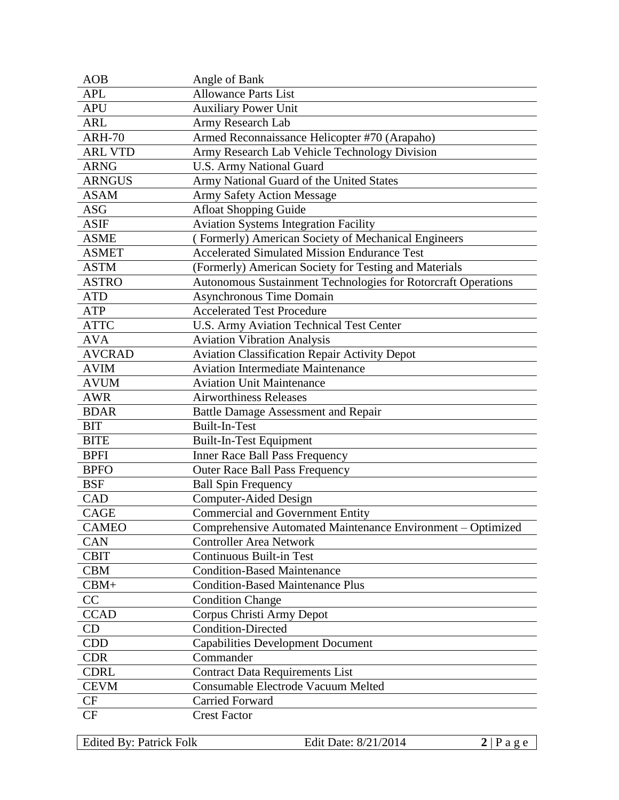| <b>AOB</b>     | Angle of Bank                                                 |
|----------------|---------------------------------------------------------------|
| <b>APL</b>     | <b>Allowance Parts List</b>                                   |
| <b>APU</b>     | <b>Auxiliary Power Unit</b>                                   |
| <b>ARL</b>     | Army Research Lab                                             |
| <b>ARH-70</b>  | Armed Reconnaissance Helicopter #70 (Arapaho)                 |
| <b>ARL VTD</b> | Army Research Lab Vehicle Technology Division                 |
| <b>ARNG</b>    | <b>U.S. Army National Guard</b>                               |
| <b>ARNGUS</b>  | Army National Guard of the United States                      |
| <b>ASAM</b>    | <b>Army Safety Action Message</b>                             |
| ASG            | <b>Afloat Shopping Guide</b>                                  |
| <b>ASIF</b>    | <b>Aviation Systems Integration Facility</b>                  |
| <b>ASME</b>    | (Formerly) American Society of Mechanical Engineers           |
| <b>ASMET</b>   | <b>Accelerated Simulated Mission Endurance Test</b>           |
| <b>ASTM</b>    | (Formerly) American Society for Testing and Materials         |
| <b>ASTRO</b>   | Autonomous Sustainment Technologies for Rotorcraft Operations |
| <b>ATD</b>     | <b>Asynchronous Time Domain</b>                               |
| <b>ATP</b>     | <b>Accelerated Test Procedure</b>                             |
| <b>ATTC</b>    | U.S. Army Aviation Technical Test Center                      |
| <b>AVA</b>     | <b>Aviation Vibration Analysis</b>                            |
| <b>AVCRAD</b>  | <b>Aviation Classification Repair Activity Depot</b>          |
| <b>AVIM</b>    | <b>Aviation Intermediate Maintenance</b>                      |
| <b>AVUM</b>    | <b>Aviation Unit Maintenance</b>                              |
| <b>AWR</b>     | <b>Airworthiness Releases</b>                                 |
| <b>BDAR</b>    | <b>Battle Damage Assessment and Repair</b>                    |
| <b>BIT</b>     | <b>Built-In-Test</b>                                          |
| <b>BITE</b>    | <b>Built-In-Test Equipment</b>                                |
| <b>BPFI</b>    | Inner Race Ball Pass Frequency                                |
| <b>BPFO</b>    | <b>Outer Race Ball Pass Frequency</b>                         |
| <b>BSF</b>     | <b>Ball Spin Frequency</b>                                    |
| CAD            | Computer-Aided Design                                         |
| CAGE           | <b>Commercial and Government Entity</b>                       |
| <b>CAMEO</b>   | Comprehensive Automated Maintenance Environment - Optimized   |
| <b>CAN</b>     | <b>Controller Area Network</b>                                |
| <b>CBIT</b>    | <b>Continuous Built-in Test</b>                               |
| <b>CBM</b>     | <b>Condition-Based Maintenance</b>                            |
| $CBM+$         | <b>Condition-Based Maintenance Plus</b>                       |
| CC             | <b>Condition Change</b>                                       |
| <b>CCAD</b>    | Corpus Christi Army Depot                                     |
| CD             | <b>Condition-Directed</b>                                     |
| <b>CDD</b>     | <b>Capabilities Development Document</b>                      |
| <b>CDR</b>     | Commander                                                     |
| <b>CDRL</b>    | <b>Contract Data Requirements List</b>                        |
| <b>CEVM</b>    | Consumable Electrode Vacuum Melted                            |
| CF             | <b>Carried Forward</b>                                        |
| CF             | <b>Crest Factor</b>                                           |
|                |                                                               |

Edited By: Patrick Folk Edit Date: 8/21/2014 2 | P a g e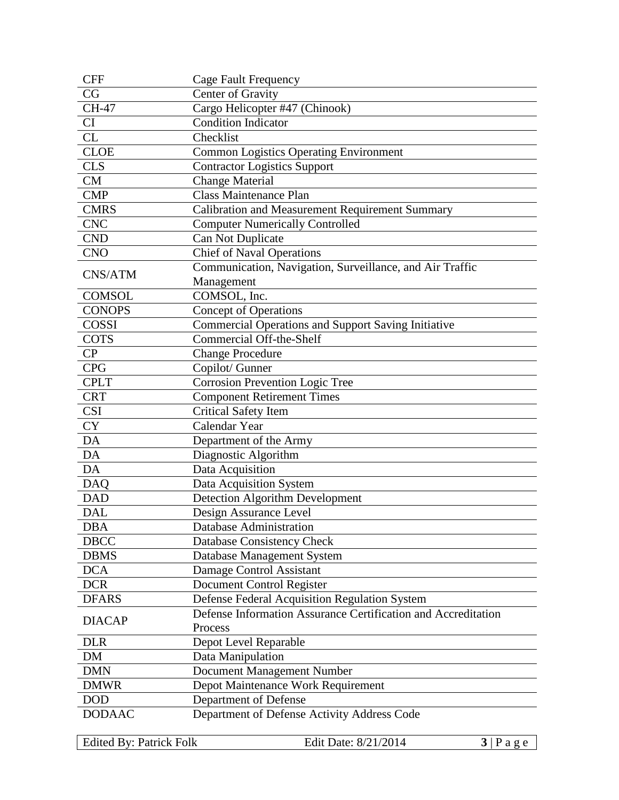| <b>CFF</b>    | <b>Cage Fault Frequency</b>                                   |
|---------------|---------------------------------------------------------------|
| CG            | Center of Gravity                                             |
| CH-47         | Cargo Helicopter #47 (Chinook)                                |
| <b>CI</b>     | <b>Condition Indicator</b>                                    |
| CL            | Checklist                                                     |
| <b>CLOE</b>   | <b>Common Logistics Operating Environment</b>                 |
| <b>CLS</b>    | <b>Contractor Logistics Support</b>                           |
| <b>CM</b>     | <b>Change Material</b>                                        |
| <b>CMP</b>    | <b>Class Maintenance Plan</b>                                 |
| <b>CMRS</b>   | Calibration and Measurement Requirement Summary               |
| <b>CNC</b>    | <b>Computer Numerically Controlled</b>                        |
| <b>CND</b>    | Can Not Duplicate                                             |
| <b>CNO</b>    | <b>Chief of Naval Operations</b>                              |
|               | Communication, Navigation, Surveillance, and Air Traffic      |
| CNS/ATM       | Management                                                    |
| <b>COMSOL</b> | COMSOL, Inc.                                                  |
| <b>CONOPS</b> | <b>Concept of Operations</b>                                  |
| <b>COSSI</b>  | Commercial Operations and Support Saving Initiative           |
| <b>COTS</b>   | <b>Commercial Off-the-Shelf</b>                               |
| CP            | <b>Change Procedure</b>                                       |
| <b>CPG</b>    | Copilot/ Gunner                                               |
| <b>CPLT</b>   | <b>Corrosion Prevention Logic Tree</b>                        |
| <b>CRT</b>    | <b>Component Retirement Times</b>                             |
| <b>CSI</b>    | <b>Critical Safety Item</b>                                   |
| <b>CY</b>     | Calendar Year                                                 |
| DA            | Department of the Army                                        |
| DA            | Diagnostic Algorithm                                          |
| DA            | Data Acquisition                                              |
| <b>DAQ</b>    | Data Acquisition System                                       |
| <b>DAD</b>    | Detection Algorithm Development                               |
| <b>DAL</b>    | Design Assurance Level                                        |
| <b>DBA</b>    | Database Administration                                       |
| <b>DBCC</b>   | Database Consistency Check                                    |
| <b>DBMS</b>   | Database Management System                                    |
| <b>DCA</b>    | Damage Control Assistant                                      |
| <b>DCR</b>    | Document Control Register                                     |
| <b>DFARS</b>  | Defense Federal Acquisition Regulation System                 |
|               | Defense Information Assurance Certification and Accreditation |
| <b>DIACAP</b> | Process                                                       |
| <b>DLR</b>    | Depot Level Reparable                                         |
| DM            | Data Manipulation                                             |
| <b>DMN</b>    | Document Management Number                                    |
| <b>DMWR</b>   | Depot Maintenance Work Requirement                            |
| <b>DOD</b>    | Department of Defense                                         |
| <b>DODAAC</b> | Department of Defense Activity Address Code                   |
|               |                                                               |

Edited By: Patrick Folk Edit Date: 8/21/2014 **3** | P a g e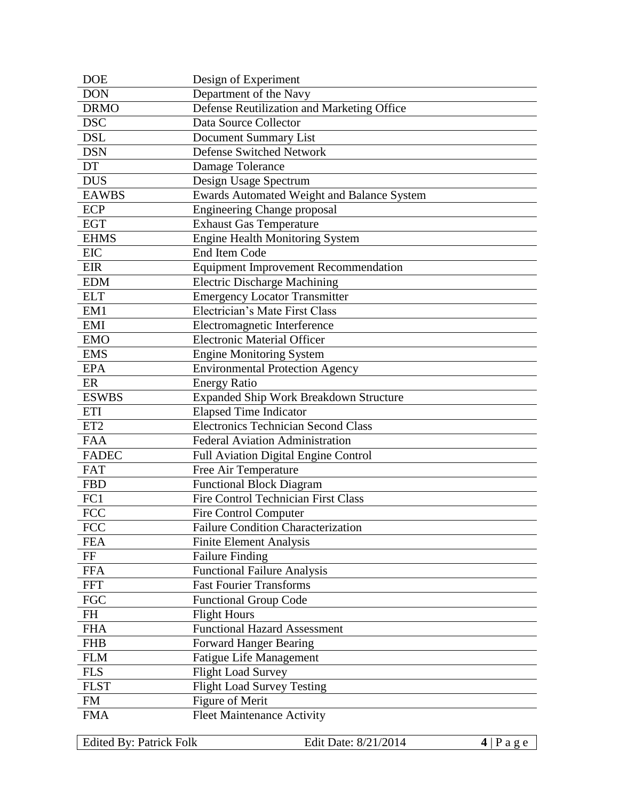| <b>DOE</b>      | Design of Experiment                        |
|-----------------|---------------------------------------------|
| <b>DON</b>      | Department of the Navy                      |
| <b>DRMO</b>     | Defense Reutilization and Marketing Office  |
| <b>DSC</b>      | Data Source Collector                       |
| <b>DSL</b>      | Document Summary List                       |
| <b>DSN</b>      | Defense Switched Network                    |
| DT              | Damage Tolerance                            |
| <b>DUS</b>      | Design Usage Spectrum                       |
| <b>EAWBS</b>    | Ewards Automated Weight and Balance System  |
| <b>ECP</b>      | <b>Engineering Change proposal</b>          |
| <b>EGT</b>      | <b>Exhaust Gas Temperature</b>              |
| <b>EHMS</b>     | <b>Engine Health Monitoring System</b>      |
| <b>EIC</b>      | End Item Code                               |
| <b>EIR</b>      | <b>Equipment Improvement Recommendation</b> |
| <b>EDM</b>      | <b>Electric Discharge Machining</b>         |
| <b>ELT</b>      | <b>Emergency Locator Transmitter</b>        |
| EM1             | Electrician's Mate First Class              |
| <b>EMI</b>      | Electromagnetic Interference                |
| <b>EMO</b>      | <b>Electronic Material Officer</b>          |
| <b>EMS</b>      | <b>Engine Monitoring System</b>             |
| <b>EPA</b>      | <b>Environmental Protection Agency</b>      |
| ER              | <b>Energy Ratio</b>                         |
| <b>ESWBS</b>    | Expanded Ship Work Breakdown Structure      |
| <b>ETI</b>      | <b>Elapsed Time Indicator</b>               |
| ET <sub>2</sub> | Electronics Technician Second Class         |
| <b>FAA</b>      | Federal Aviation Administration             |
| <b>FADEC</b>    | Full Aviation Digital Engine Control        |
| <b>FAT</b>      | Free Air Temperature                        |
| <b>FBD</b>      | <b>Functional Block Diagram</b>             |
| FC1             | <b>Fire Control Technician First Class</b>  |
| <b>FCC</b>      | <b>Fire Control Computer</b>                |
| <b>FCC</b>      | Failure Condition Characterization          |
| <b>FEA</b>      | <b>Finite Element Analysis</b>              |
| FF              | <b>Failure Finding</b>                      |
| <b>FFA</b>      | Functional Failure Analysis                 |
| <b>FFT</b>      | <b>Fast Fourier Transforms</b>              |
| <b>FGC</b>      | <b>Functional Group Code</b>                |
| FH              | <b>Flight Hours</b>                         |
| <b>FHA</b>      | <b>Functional Hazard Assessment</b>         |
| <b>FHB</b>      | <b>Forward Hanger Bearing</b>               |
| <b>FLM</b>      | <b>Fatigue Life Management</b>              |
| <b>FLS</b>      | <b>Flight Load Survey</b>                   |
| <b>FLST</b>     | <b>Flight Load Survey Testing</b>           |
| <b>FM</b>       | Figure of Merit                             |
| <b>FMA</b>      | <b>Fleet Maintenance Activity</b>           |
|                 |                                             |

Edited By: Patrick Folk Edit Date: 8/21/2014 **4** | P a g e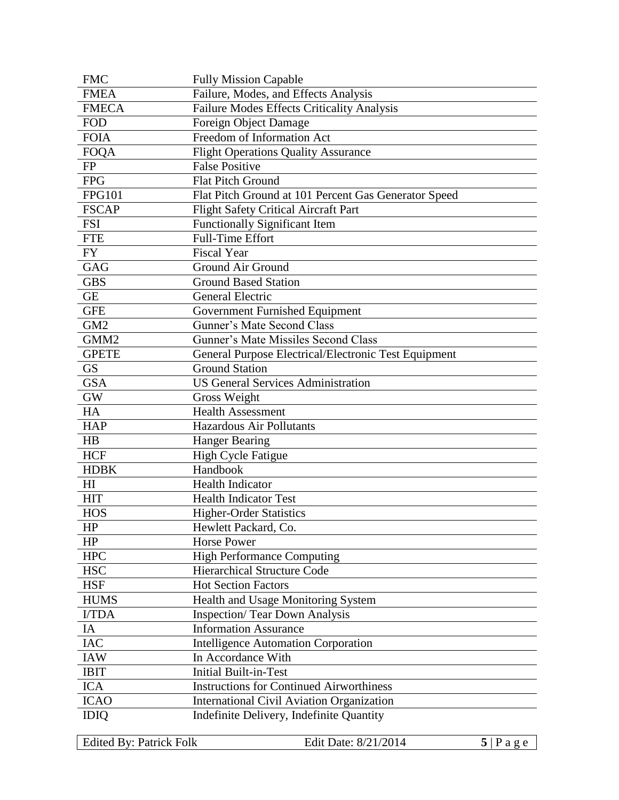| <b>FMC</b>       | <b>Fully Mission Capable</b>                         |
|------------------|------------------------------------------------------|
| <b>FMEA</b>      | Failure, Modes, and Effects Analysis                 |
| <b>FMECA</b>     | Failure Modes Effects Criticality Analysis           |
| <b>FOD</b>       | Foreign Object Damage                                |
| <b>FOIA</b>      | Freedom of Information Act                           |
| <b>FOQA</b>      | <b>Flight Operations Quality Assurance</b>           |
| <b>FP</b>        | <b>False Positive</b>                                |
| <b>FPG</b>       | <b>Flat Pitch Ground</b>                             |
| <b>FPG101</b>    | Flat Pitch Ground at 101 Percent Gas Generator Speed |
| <b>FSCAP</b>     | <b>Flight Safety Critical Aircraft Part</b>          |
| <b>FSI</b>       | <b>Functionally Significant Item</b>                 |
| <b>FTE</b>       | <b>Full-Time Effort</b>                              |
| <b>FY</b>        | <b>Fiscal Year</b>                                   |
| GAG              | Ground Air Ground                                    |
| <b>GBS</b>       | <b>Ground Based Station</b>                          |
| <b>GE</b>        | <b>General Electric</b>                              |
| <b>GFE</b>       | Government Furnished Equipment                       |
| GM <sub>2</sub>  | Gunner's Mate Second Class                           |
| GMM <sub>2</sub> | Gunner's Mate Missiles Second Class                  |
| <b>GPETE</b>     | General Purpose Electrical/Electronic Test Equipment |
| <b>GS</b>        | <b>Ground Station</b>                                |
| <b>GSA</b>       | <b>US General Services Administration</b>            |
| <b>GW</b>        | Gross Weight                                         |
| HA               | <b>Health Assessment</b>                             |
| <b>HAP</b>       | <b>Hazardous Air Pollutants</b>                      |
| HB               | <b>Hanger Bearing</b>                                |
| <b>HCF</b>       | <b>High Cycle Fatigue</b>                            |
| <b>HDBK</b>      | Handbook                                             |
| H <sub>I</sub>   | <b>Health Indicator</b>                              |
| <b>HIT</b>       | <b>Health Indicator Test</b>                         |
| <b>HOS</b>       | Higher-Order Statistics                              |
| HP               | Hewlett Packard, Co.                                 |
| HP               | <b>Horse Power</b>                                   |
| <b>HPC</b>       | <b>High Performance Computing</b>                    |
| <b>HSC</b>       | Hierarchical Structure Code                          |
| <b>HSF</b>       | <b>Hot Section Factors</b>                           |
| <b>HUMS</b>      | Health and Usage Monitoring System                   |
| I/TDA            | <b>Inspection/ Tear Down Analysis</b>                |
| IA               | <b>Information Assurance</b>                         |
| <b>IAC</b>       | <b>Intelligence Automation Corporation</b>           |
| <b>IAW</b>       | In Accordance With                                   |
| <b>IBIT</b>      | <b>Initial Built-in-Test</b>                         |
| <b>ICA</b>       | <b>Instructions for Continued Airworthiness</b>      |
| <b>ICAO</b>      | International Civil Aviation Organization            |
| <b>IDIQ</b>      | Indefinite Delivery, Indefinite Quantity             |

Edited By: Patrick Folk Edit Date: 8/21/2014 5 | P a g e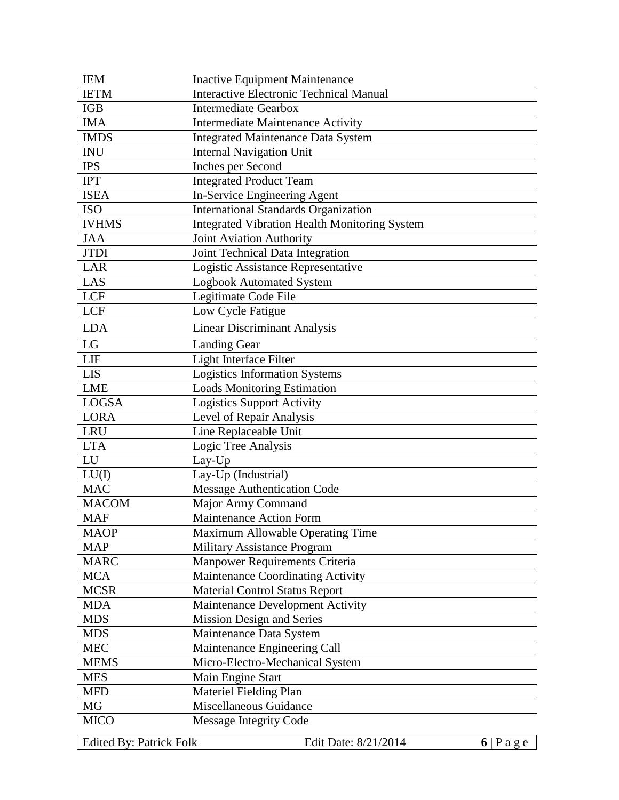| <b>IEM</b>                     | <b>Inactive Equipment Maintenance</b>                |                      |
|--------------------------------|------------------------------------------------------|----------------------|
| <b>IETM</b>                    | <b>Interactive Electronic Technical Manual</b>       |                      |
| <b>IGB</b>                     | <b>Intermediate Gearbox</b>                          |                      |
| <b>IMA</b>                     | <b>Intermediate Maintenance Activity</b>             |                      |
| <b>IMDS</b>                    | <b>Integrated Maintenance Data System</b>            |                      |
| <b>INU</b>                     | <b>Internal Navigation Unit</b>                      |                      |
| <b>IPS</b>                     | Inches per Second                                    |                      |
| <b>IPT</b>                     | <b>Integrated Product Team</b>                       |                      |
| <b>ISEA</b>                    | In-Service Engineering Agent                         |                      |
| <b>ISO</b>                     | <b>International Standards Organization</b>          |                      |
| <b>IVHMS</b>                   | <b>Integrated Vibration Health Monitoring System</b> |                      |
| <b>JAA</b>                     | Joint Aviation Authority                             |                      |
| <b>JTDI</b>                    | Joint Technical Data Integration                     |                      |
| <b>LAR</b>                     | Logistic Assistance Representative                   |                      |
| LAS                            | <b>Logbook Automated System</b>                      |                      |
| <b>LCF</b>                     | Legitimate Code File                                 |                      |
| <b>LCF</b>                     | Low Cycle Fatigue                                    |                      |
| <b>LDA</b>                     | <b>Linear Discriminant Analysis</b>                  |                      |
| LG                             | <b>Landing Gear</b>                                  |                      |
| LIF                            | Light Interface Filter                               |                      |
| <b>LIS</b>                     | <b>Logistics Information Systems</b>                 |                      |
| <b>LME</b>                     | <b>Loads Monitoring Estimation</b>                   |                      |
| <b>LOGSA</b>                   | <b>Logistics Support Activity</b>                    |                      |
| <b>LORA</b>                    | Level of Repair Analysis                             |                      |
| <b>LRU</b>                     | Line Replaceable Unit                                |                      |
| <b>LTA</b>                     | Logic Tree Analysis                                  |                      |
| LU                             | Lay-Up                                               |                      |
| LU(I)                          | Lay-Up (Industrial)                                  |                      |
| <b>MAC</b>                     | <b>Message Authentication Code</b>                   |                      |
| <b>MACOM</b>                   | Major Army Command                                   |                      |
| <b>MAF</b>                     | <b>Maintenance Action Form</b>                       |                      |
| <b>MAOP</b>                    | Maximum Allowable Operating Time                     |                      |
| <b>MAP</b>                     | <b>Military Assistance Program</b>                   |                      |
| <b>MARC</b>                    | Manpower Requirements Criteria                       |                      |
| <b>MCA</b>                     | Maintenance Coordinating Activity                    |                      |
| <b>MCSR</b>                    | <b>Material Control Status Report</b>                |                      |
| <b>MDA</b>                     | Maintenance Development Activity                     |                      |
| <b>MDS</b>                     | <b>Mission Design and Series</b>                     |                      |
| <b>MDS</b>                     | Maintenance Data System                              |                      |
| <b>MEC</b>                     | Maintenance Engineering Call                         |                      |
| <b>MEMS</b>                    | Micro-Electro-Mechanical System                      |                      |
| <b>MES</b>                     | Main Engine Start                                    |                      |
| <b>MFD</b>                     | Materiel Fielding Plan                               |                      |
| MG                             | Miscellaneous Guidance                               |                      |
| <b>MICO</b>                    | <b>Message Integrity Code</b>                        |                      |
| <b>Edited By: Patrick Folk</b> | Edit Date: 8/21/2014                                 | $6 P \text{ a } g e$ |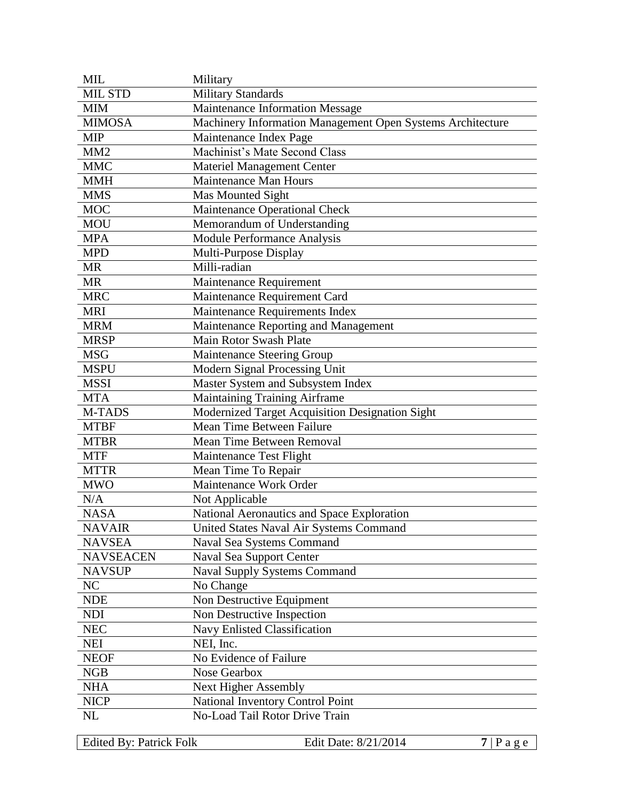| <b>MIL</b>       | Military                                                   |
|------------------|------------------------------------------------------------|
| <b>MIL STD</b>   | <b>Military Standards</b>                                  |
| <b>MIM</b>       | Maintenance Information Message                            |
| <b>MIMOSA</b>    | Machinery Information Management Open Systems Architecture |
| <b>MIP</b>       | Maintenance Index Page                                     |
| MM <sub>2</sub>  | Machinist's Mate Second Class                              |
| <b>MMC</b>       | Materiel Management Center                                 |
| <b>MMH</b>       | Maintenance Man Hours                                      |
| <b>MMS</b>       | Mas Mounted Sight                                          |
| <b>MOC</b>       | Maintenance Operational Check                              |
| <b>MOU</b>       | Memorandum of Understanding                                |
| <b>MPA</b>       | Module Performance Analysis                                |
| <b>MPD</b>       | Multi-Purpose Display                                      |
| MR               | Milli-radian                                               |
| <b>MR</b>        | Maintenance Requirement                                    |
| <b>MRC</b>       | Maintenance Requirement Card                               |
| <b>MRI</b>       | Maintenance Requirements Index                             |
| <b>MRM</b>       | Maintenance Reporting and Management                       |
| <b>MRSP</b>      | Main Rotor Swash Plate                                     |
| <b>MSG</b>       | <b>Maintenance Steering Group</b>                          |
| <b>MSPU</b>      | Modern Signal Processing Unit                              |
| <b>MSSI</b>      | Master System and Subsystem Index                          |
| <b>MTA</b>       | <b>Maintaining Training Airframe</b>                       |
| M-TADS           | Modernized Target Acquisition Designation Sight            |
| <b>MTBF</b>      | Mean Time Between Failure                                  |
| <b>MTBR</b>      | Mean Time Between Removal                                  |
| <b>MTF</b>       | Maintenance Test Flight                                    |
| <b>MTTR</b>      | Mean Time To Repair                                        |
| <b>MWO</b>       | Maintenance Work Order                                     |
| N/A              | Not Applicable                                             |
| <b>NASA</b>      | National Aeronautics and Space Exploration                 |
| <b>NAVAIR</b>    | United States Naval Air Systems Command                    |
| <b>NAVSEA</b>    | Naval Sea Systems Command                                  |
| <b>NAVSEACEN</b> | Naval Sea Support Center                                   |
| <b>NAVSUP</b>    | <b>Naval Supply Systems Command</b>                        |
| NC               | No Change                                                  |
| <b>NDE</b>       | Non Destructive Equipment                                  |
| <b>NDI</b>       | Non Destructive Inspection                                 |
| <b>NEC</b>       | Navy Enlisted Classification                               |
| <b>NEI</b>       | NEI, Inc.                                                  |
| <b>NEOF</b>      | No Evidence of Failure                                     |
| <b>NGB</b>       | Nose Gearbox                                               |
| <b>NHA</b>       | <b>Next Higher Assembly</b>                                |
| <b>NICP</b>      | National Inventory Control Point                           |
| NL               | No-Load Tail Rotor Drive Train                             |

Edited By: Patrick Folk Edit Date: 8/21/2014 **7** | P a g e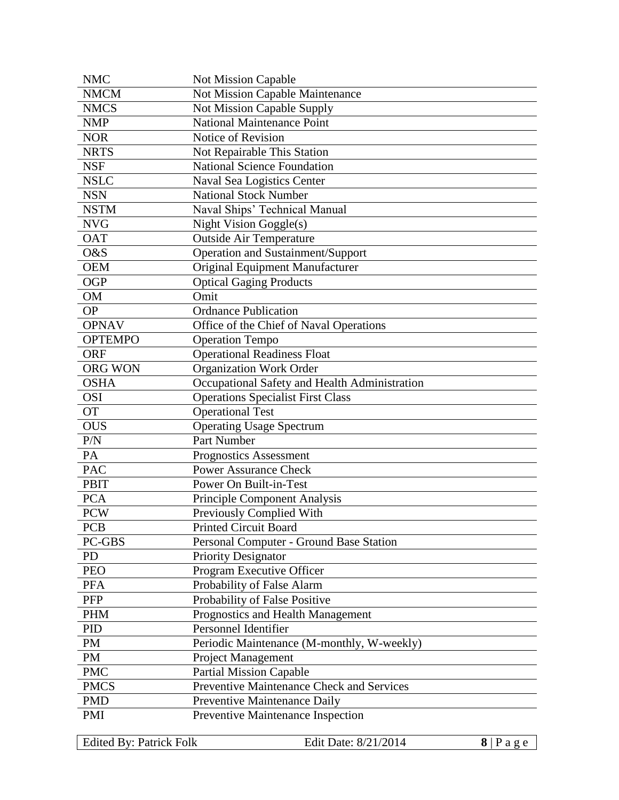| <b>NMC</b>     | <b>Not Mission Capable</b>                    |
|----------------|-----------------------------------------------|
| <b>NMCM</b>    | Not Mission Capable Maintenance               |
| <b>NMCS</b>    | Not Mission Capable Supply                    |
| <b>NMP</b>     | <b>National Maintenance Point</b>             |
| <b>NOR</b>     | Notice of Revision                            |
| <b>NRTS</b>    | Not Repairable This Station                   |
| <b>NSF</b>     | <b>National Science Foundation</b>            |
| <b>NSLC</b>    | Naval Sea Logistics Center                    |
| <b>NSN</b>     | <b>National Stock Number</b>                  |
| <b>NSTM</b>    | Naval Ships' Technical Manual                 |
| <b>NVG</b>     | Night Vision Goggle(s)                        |
| <b>OAT</b>     | <b>Outside Air Temperature</b>                |
| O&S            | Operation and Sustainment/Support             |
| <b>OEM</b>     | Original Equipment Manufacturer               |
| <b>OGP</b>     | <b>Optical Gaging Products</b>                |
| <b>OM</b>      | Omit                                          |
| <b>OP</b>      | <b>Ordnance Publication</b>                   |
| <b>OPNAV</b>   | Office of the Chief of Naval Operations       |
| <b>OPTEMPO</b> | <b>Operation Tempo</b>                        |
| <b>ORF</b>     | <b>Operational Readiness Float</b>            |
| <b>ORG WON</b> | Organization Work Order                       |
| <b>OSHA</b>    | Occupational Safety and Health Administration |
| <b>OSI</b>     | <b>Operations Specialist First Class</b>      |
| <b>OT</b>      | <b>Operational Test</b>                       |
| <b>OUS</b>     | <b>Operating Usage Spectrum</b>               |
| P/N            | Part Number                                   |
| PA             | <b>Prognostics Assessment</b>                 |
| <b>PAC</b>     | <b>Power Assurance Check</b>                  |
| <b>PBIT</b>    | Power On Built-in-Test                        |
| <b>PCA</b>     | <b>Principle Component Analysis</b>           |
| <b>PCW</b>     | Previously Complied With                      |
| PCB            | Printed Circuit Board                         |
| PC-GBS         | Personal Computer - Ground Base Station       |
| PD             | <b>Priority Designator</b>                    |
| <b>PEO</b>     | Program Executive Officer                     |
| <b>PFA</b>     | Probability of False Alarm                    |
| PFP            | Probability of False Positive                 |
| <b>PHM</b>     | Prognostics and Health Management             |
| <b>PID</b>     | Personnel Identifier                          |
| PM             | Periodic Maintenance (M-monthly, W-weekly)    |
| PM             | <b>Project Management</b>                     |
| <b>PMC</b>     | <b>Partial Mission Capable</b>                |
| <b>PMCS</b>    | Preventive Maintenance Check and Services     |
| <b>PMD</b>     | Preventive Maintenance Daily                  |
| PMI            | Preventive Maintenance Inspection             |

Edited By: Patrick Folk Edit Date: 8/21/2014 **8** | P a g e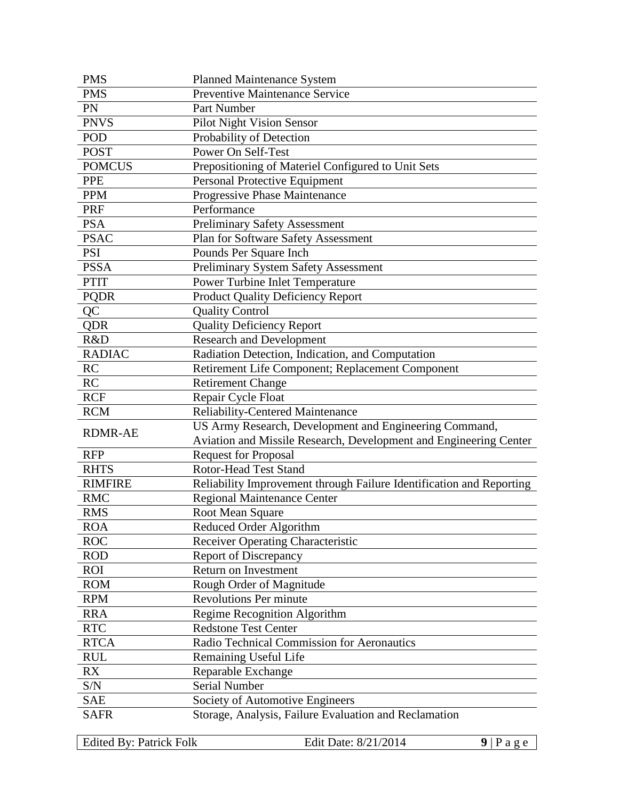| <b>PMS</b>     | <b>Planned Maintenance System</b>                                                        |
|----------------|------------------------------------------------------------------------------------------|
| <b>PMS</b>     | Preventive Maintenance Service                                                           |
| PN             | Part Number                                                                              |
| <b>PNVS</b>    | Pilot Night Vision Sensor                                                                |
| POD            | Probability of Detection                                                                 |
| <b>POST</b>    | Power On Self-Test                                                                       |
| <b>POMCUS</b>  | Prepositioning of Materiel Configured to Unit Sets                                       |
| <b>PPE</b>     | Personal Protective Equipment                                                            |
| <b>PPM</b>     | Progressive Phase Maintenance                                                            |
| PRF            | Performance                                                                              |
| <b>PSA</b>     | Preliminary Safety Assessment                                                            |
| <b>PSAC</b>    | Plan for Software Safety Assessment                                                      |
| <b>PSI</b>     | Pounds Per Square Inch                                                                   |
| <b>PSSA</b>    | <b>Preliminary System Safety Assessment</b>                                              |
| <b>PTIT</b>    | Power Turbine Inlet Temperature                                                          |
| <b>PQDR</b>    | <b>Product Quality Deficiency Report</b>                                                 |
| QC             | <b>Quality Control</b>                                                                   |
| <b>QDR</b>     | <b>Quality Deficiency Report</b>                                                         |
| R&D            | <b>Research and Development</b>                                                          |
| <b>RADIAC</b>  | Radiation Detection, Indication, and Computation                                         |
| RC             | Retirement Life Component; Replacement Component                                         |
| RC             | <b>Retirement Change</b>                                                                 |
| <b>RCF</b>     | Repair Cycle Float                                                                       |
|                |                                                                                          |
| <b>RCM</b>     | <b>Reliability-Centered Maintenance</b>                                                  |
|                | US Army Research, Development and Engineering Command,                                   |
| <b>RDMR-AE</b> | Aviation and Missile Research, Development and Engineering Center                        |
| <b>RFP</b>     | <b>Request for Proposal</b>                                                              |
| <b>RHTS</b>    | <b>Rotor-Head Test Stand</b>                                                             |
| <b>RIMFIRE</b> | Reliability Improvement through Failure Identification and Reporting                     |
| <b>RMC</b>     | <b>Regional Maintenance Center</b>                                                       |
| <b>RMS</b>     |                                                                                          |
| <b>ROA</b>     | Root Mean Square<br>Reduced Order Algorithm                                              |
| <b>ROC</b>     | Receiver Operating Characteristic                                                        |
| <b>ROD</b>     | <b>Report of Discrepancy</b>                                                             |
| ROI            | Return on Investment                                                                     |
| <b>ROM</b>     | Rough Order of Magnitude                                                                 |
| <b>RPM</b>     | <b>Revolutions Per minute</b>                                                            |
| <b>RRA</b>     | Regime Recognition Algorithm                                                             |
| <b>RTC</b>     | <b>Redstone Test Center</b>                                                              |
| <b>RTCA</b>    | Radio Technical Commission for Aeronautics                                               |
| <b>RUL</b>     | <b>Remaining Useful Life</b>                                                             |
| RX             | Reparable Exchange                                                                       |
| S/N            | Serial Number                                                                            |
| <b>SAE</b>     |                                                                                          |
| <b>SAFR</b>    | Society of Automotive Engineers<br>Storage, Analysis, Failure Evaluation and Reclamation |

Edited By: Patrick Folk Edit Date: 8/21/2014 9 | P a g e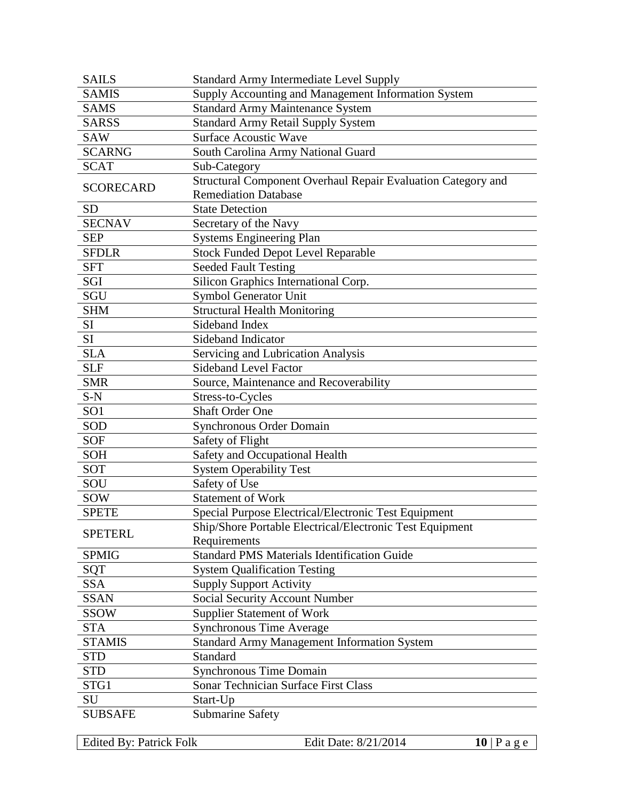| <b>SAILS</b>     | <b>Standard Army Intermediate Level Supply</b>               |
|------------------|--------------------------------------------------------------|
| <b>SAMIS</b>     | Supply Accounting and Management Information System          |
| <b>SAMS</b>      | <b>Standard Army Maintenance System</b>                      |
| <b>SARSS</b>     | <b>Standard Army Retail Supply System</b>                    |
| <b>SAW</b>       | <b>Surface Acoustic Wave</b>                                 |
| <b>SCARNG</b>    | South Carolina Army National Guard                           |
| <b>SCAT</b>      | Sub-Category                                                 |
|                  | Structural Component Overhaul Repair Evaluation Category and |
| <b>SCORECARD</b> | <b>Remediation Database</b>                                  |
| <b>SD</b>        | <b>State Detection</b>                                       |
| <b>SECNAV</b>    | Secretary of the Navy                                        |
| <b>SEP</b>       | <b>Systems Engineering Plan</b>                              |
| <b>SFDLR</b>     | <b>Stock Funded Depot Level Reparable</b>                    |
| <b>SFT</b>       | <b>Seeded Fault Testing</b>                                  |
| SGI              | Silicon Graphics International Corp.                         |
| SGU              | Symbol Generator Unit                                        |
| <b>SHM</b>       | <b>Structural Health Monitoring</b>                          |
| SI               | Sideband Index                                               |
| SI               | Sideband Indicator                                           |
| <b>SLA</b>       | Servicing and Lubrication Analysis                           |
| <b>SLF</b>       | <b>Sideband Level Factor</b>                                 |
| <b>SMR</b>       | Source, Maintenance and Recoverability                       |
| $S-N$            | Stress-to-Cycles                                             |
| SO <sub>1</sub>  | <b>Shaft Order One</b>                                       |
| SOD              | <b>Synchronous Order Domain</b>                              |
| <b>SOF</b>       | Safety of Flight                                             |
| <b>SOH</b>       | Safety and Occupational Health                               |
| SOT              | <b>System Operability Test</b>                               |
| SOU              | Safety of Use                                                |
| <b>SOW</b>       | <b>Statement of Work</b>                                     |
| <b>SPETE</b>     | Special Purpose Electrical/Electronic Test Equipment         |
|                  | Ship/Shore Portable Electrical/Electronic Test Equipment     |
| <b>SPETERL</b>   | Requirements                                                 |
| <b>SPMIG</b>     | <b>Standard PMS Materials Identification Guide</b>           |
| <b>SQT</b>       | <b>System Qualification Testing</b>                          |
| <b>SSA</b>       | <b>Supply Support Activity</b>                               |
| <b>SSAN</b>      | Social Security Account Number                               |
| <b>SSOW</b>      | <b>Supplier Statement of Work</b>                            |
| <b>STA</b>       | Synchronous Time Average                                     |
| <b>STAMIS</b>    | <b>Standard Army Management Information System</b>           |
| <b>STD</b>       | Standard                                                     |
| <b>STD</b>       | Synchronous Time Domain                                      |
| STG1             | Sonar Technician Surface First Class                         |
| SU               | Start-Up                                                     |
| <b>SUBSAFE</b>   | <b>Submarine Safety</b>                                      |
|                  |                                                              |

Edited By: Patrick Folk Edit Date: 8/21/2014 **10** | P a g e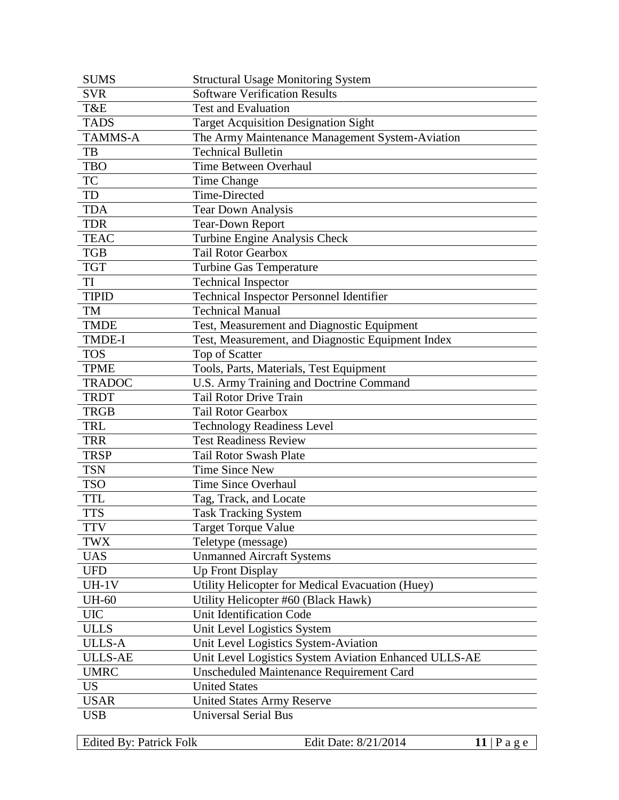| <b>SUMS</b>    | <b>Structural Usage Monitoring System</b>             |
|----------------|-------------------------------------------------------|
| <b>SVR</b>     | <b>Software Verification Results</b>                  |
| T&E            | <b>Test and Evaluation</b>                            |
| <b>TADS</b>    | <b>Target Acquisition Designation Sight</b>           |
| <b>TAMMS-A</b> | The Army Maintenance Management System-Aviation       |
| TB             | <b>Technical Bulletin</b>                             |
| <b>TBO</b>     | Time Between Overhaul                                 |
| <b>TC</b>      | Time Change                                           |
| TD             | Time-Directed                                         |
| <b>TDA</b>     | <b>Tear Down Analysis</b>                             |
| <b>TDR</b>     | <b>Tear-Down Report</b>                               |
| <b>TEAC</b>    | Turbine Engine Analysis Check                         |
| <b>TGB</b>     | <b>Tail Rotor Gearbox</b>                             |
| <b>TGT</b>     | <b>Turbine Gas Temperature</b>                        |
| TI             | <b>Technical Inspector</b>                            |
| <b>TIPID</b>   | Technical Inspector Personnel Identifier              |
| TM             | <b>Technical Manual</b>                               |
| <b>TMDE</b>    | Test, Measurement and Diagnostic Equipment            |
| <b>TMDE-I</b>  | Test, Measurement, and Diagnostic Equipment Index     |
| <b>TOS</b>     | Top of Scatter                                        |
| <b>TPME</b>    | Tools, Parts, Materials, Test Equipment               |
| <b>TRADOC</b>  | U.S. Army Training and Doctrine Command               |
| <b>TRDT</b>    | <b>Tail Rotor Drive Train</b>                         |
| <b>TRGB</b>    | <b>Tail Rotor Gearbox</b>                             |
| <b>TRL</b>     | <b>Technology Readiness Level</b>                     |
| <b>TRR</b>     | <b>Test Readiness Review</b>                          |
| <b>TRSP</b>    | <b>Tail Rotor Swash Plate</b>                         |
| <b>TSN</b>     | <b>Time Since New</b>                                 |
| <b>TSO</b>     | <b>Time Since Overhaul</b>                            |
| <b>TTL</b>     | Tag, Track, and Locate                                |
| <b>TTS</b>     | <b>Task Tracking System</b>                           |
| <b>TTV</b>     | <b>Target Torque Value</b>                            |
| TWX            | Teletype (message)                                    |
| <b>UAS</b>     | <b>Unmanned Aircraft Systems</b>                      |
| <b>UFD</b>     | <b>Up Front Display</b>                               |
| $UH-1V$        | Utility Helicopter for Medical Evacuation (Huey)      |
| <b>UH-60</b>   | Utility Helicopter #60 (Black Hawk)                   |
| <b>UIC</b>     | <b>Unit Identification Code</b>                       |
| <b>ULLS</b>    | Unit Level Logistics System                           |
| <b>ULLS-A</b>  | Unit Level Logistics System-Aviation                  |
| <b>ULLS-AE</b> | Unit Level Logistics System Aviation Enhanced ULLS-AE |
| <b>UMRC</b>    | Unscheduled Maintenance Requirement Card              |
| <b>US</b>      | <b>United States</b>                                  |
| <b>USAR</b>    | <b>United States Army Reserve</b>                     |
| <b>USB</b>     | <b>Universal Serial Bus</b>                           |
|                |                                                       |

Edited By: Patrick Folk Edit Date: 8/21/2014 11 | P a g e